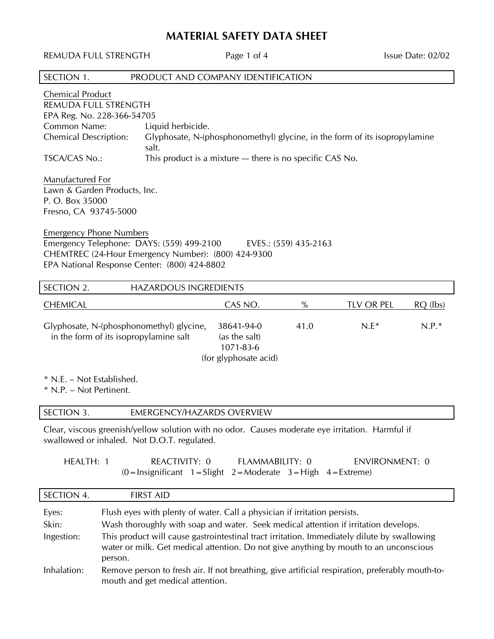## **MATERIAL SAFETY DATA SHEET**

| REMUDA FULL STRENGTH                                                                                                                           |         |                                                                                                                                                  | Page 1 of 4                                                                                                               |                       |                                                                                                                                                                                                                                                                                                                                                                                | Issue Date: 02/02 |
|------------------------------------------------------------------------------------------------------------------------------------------------|---------|--------------------------------------------------------------------------------------------------------------------------------------------------|---------------------------------------------------------------------------------------------------------------------------|-----------------------|--------------------------------------------------------------------------------------------------------------------------------------------------------------------------------------------------------------------------------------------------------------------------------------------------------------------------------------------------------------------------------|-------------------|
| SECTION 1.                                                                                                                                     |         |                                                                                                                                                  | PRODUCT AND COMPANY IDENTIFICATION                                                                                        |                       |                                                                                                                                                                                                                                                                                                                                                                                |                   |
| Chemical Product<br>REMUDA FULL STRENGTH<br>EPA Reg. No. 228-366-54705<br>Common Name:<br><b>Chemical Description:</b><br><b>TSCA/CAS No.:</b> |         | Liquid herbicide.<br>salt.                                                                                                                       | This product is a mixture $-$ there is no specific CAS No.                                                                |                       | Glyphosate, N-(phosphonomethyl) glycine, in the form of its isopropylamine                                                                                                                                                                                                                                                                                                     |                   |
| Manufactured For<br>Lawn & Garden Products, Inc.<br>P. O. Box 35000<br>Fresno, CA 93745-5000                                                   |         |                                                                                                                                                  |                                                                                                                           |                       |                                                                                                                                                                                                                                                                                                                                                                                |                   |
| <b>Emergency Phone Numbers</b>                                                                                                                 |         | Emergency Telephone: DAYS: (559) 499-2100<br>CHEMTREC (24-Hour Emergency Number): (800) 424-9300<br>EPA National Response Center: (800) 424-8802 |                                                                                                                           | EVES.: (559) 435-2163 |                                                                                                                                                                                                                                                                                                                                                                                |                   |
| SECTION 2.                                                                                                                                     |         | <b>HAZARDOUS INGREDIENTS</b>                                                                                                                     |                                                                                                                           |                       |                                                                                                                                                                                                                                                                                                                                                                                |                   |
| <b>CHEMICAL</b>                                                                                                                                |         |                                                                                                                                                  | CAS NO.                                                                                                                   | $\%$                  | TLV OR PEL                                                                                                                                                                                                                                                                                                                                                                     | RQ (lbs)          |
| in the form of its isopropylamine salt                                                                                                         |         | Glyphosate, N-(phosphonomethyl) glycine,                                                                                                         | 38641-94-0<br>(as the salt)<br>1071-83-6<br>(for glyphosate acid)                                                         | 41.0                  | $N.E*$                                                                                                                                                                                                                                                                                                                                                                         | $N.P.*$           |
| * N.E. – Not Established.<br>* N.P. - Not Pertinent.                                                                                           |         |                                                                                                                                                  |                                                                                                                           |                       |                                                                                                                                                                                                                                                                                                                                                                                |                   |
| SECTION 3.                                                                                                                                     |         | <b>EMERGENCY/HAZARDS OVERVIEW</b>                                                                                                                |                                                                                                                           |                       |                                                                                                                                                                                                                                                                                                                                                                                |                   |
|                                                                                                                                                |         | swallowed or inhaled. Not D.O.T. regulated.                                                                                                      |                                                                                                                           |                       | Clear, viscous greenish/yellow solution with no odor. Causes moderate eye irritation. Harmful if                                                                                                                                                                                                                                                                               |                   |
| HEALTH: 1                                                                                                                                      |         | REACTIVITY: 0                                                                                                                                    | FLAMMABILITY: 0<br>$(0 = \text{Insignificant } 1 = \text{Slight } 2 = \text{Modern } 3 = \text{High } 4 = \text{Extreme}$ |                       | <b>ENVIRONMENT: 0</b>                                                                                                                                                                                                                                                                                                                                                          |                   |
| SECTION 4.                                                                                                                                     |         | <b>FIRST AID</b>                                                                                                                                 |                                                                                                                           |                       |                                                                                                                                                                                                                                                                                                                                                                                |                   |
| Eyes:<br>Skin:<br>Ingestion:<br>Inhalation:                                                                                                    | person. |                                                                                                                                                  | Flush eyes with plenty of water. Call a physician if irritation persists.                                                 |                       | Wash thoroughly with soap and water. Seek medical attention if irritation develops.<br>This product will cause gastrointestinal tract irritation. Immediately dilute by swallowing<br>water or milk. Get medical attention. Do not give anything by mouth to an unconscious<br>Remove person to fresh air. If not breathing, give artificial respiration, preferably mouth-to- |                   |
|                                                                                                                                                |         | mouth and get medical attention.                                                                                                                 |                                                                                                                           |                       |                                                                                                                                                                                                                                                                                                                                                                                |                   |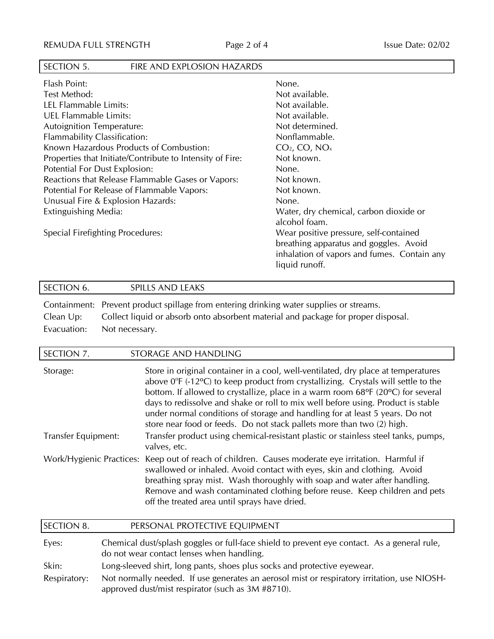## SECTION 5. FIRE AND EXPLOSION HAZARDS

| Flash Point:                                              | None.                                                                                                                                             |
|-----------------------------------------------------------|---------------------------------------------------------------------------------------------------------------------------------------------------|
| Test Method:                                              | Not available.                                                                                                                                    |
| LEL Flammable Limits:                                     | Not available.                                                                                                                                    |
| UEL Flammable Limits:                                     | Not available.                                                                                                                                    |
| <b>Autoignition Temperature:</b>                          | Not determined.                                                                                                                                   |
| Flammability Classification:                              | Nonflammable.                                                                                                                                     |
| Known Hazardous Products of Combustion:                   | $CO2$ , $CO2$ , $NOx$                                                                                                                             |
| Properties that Initiate/Contribute to Intensity of Fire: | Not known.                                                                                                                                        |
| Potential For Dust Explosion:                             | None.                                                                                                                                             |
| Reactions that Release Flammable Gases or Vapors:         | Not known.                                                                                                                                        |
| Potential For Release of Flammable Vapors:                | Not known.                                                                                                                                        |
| Unusual Fire & Explosion Hazards:                         | None.                                                                                                                                             |
| Extinguishing Media:                                      | Water, dry chemical, carbon dioxide or<br>alcohol foam.                                                                                           |
| Special Firefighting Procedures:                          | Wear positive pressure, self-contained<br>breathing apparatus and goggles. Avoid<br>inhalation of vapors and fumes. Contain any<br>liquid runoff. |

| SECTION 6. | SPILLS AND LEAKS                                                                                    |
|------------|-----------------------------------------------------------------------------------------------------|
|            | Containment: Prevent product spillage from entering drinking water supplies or streams.             |
|            | بالمحمودات والمستحدث والمسترام والمستحدث والمستحدث والمستحدث والمسترام والمستلف والمستحدث والمستحدث |

Clean Up: Collect liquid or absorb onto absorbent material and package for proper disposal. Evacuation: Not necessary.

| SECTION 7.               | STORAGE AND HANDLING                                                                                                                                                                                                                                                                                                                                                                                                                                                                                                        |
|--------------------------|-----------------------------------------------------------------------------------------------------------------------------------------------------------------------------------------------------------------------------------------------------------------------------------------------------------------------------------------------------------------------------------------------------------------------------------------------------------------------------------------------------------------------------|
| Storage:                 | Store in original container in a cool, well-ventilated, dry place at temperatures<br>above $0^{\circ}F$ (-12 $^{\circ}C$ ) to keep product from crystallizing. Crystals will settle to the<br>bottom. If allowed to crystallize, place in a warm room 68°F (20°C) for several<br>days to redissolve and shake or roll to mix well before using. Product is stable<br>under normal conditions of storage and handling for at least 5 years. Do not<br>store near food or feeds. Do not stack pallets more than two (2) high. |
| Transfer Equipment:      | Transfer product using chemical-resistant plastic or stainless steel tanks, pumps,<br>valves, etc.                                                                                                                                                                                                                                                                                                                                                                                                                          |
| Work/Hygienic Practices: | Keep out of reach of children. Causes moderate eye irritation. Harmful if<br>swallowed or inhaled. Avoid contact with eyes, skin and clothing. Avoid<br>breathing spray mist. Wash thoroughly with soap and water after handling.<br>Remove and wash contaminated clothing before reuse. Keep children and pets<br>off the treated area until sprays have dried.                                                                                                                                                            |

| SECTION 8.   | PERSONAL PROTECTIVE EQUIPMENT                                                                                                                    |
|--------------|--------------------------------------------------------------------------------------------------------------------------------------------------|
| Eyes:        | Chemical dust/splash goggles or full-face shield to prevent eye contact. As a general rule,<br>do not wear contact lenses when handling.         |
| Skin:        | Long-sleeved shirt, long pants, shoes plus socks and protective eyewear.                                                                         |
| Respiratory: | Not normally needed. If use generates an aerosol mist or respiratory irritation, use NIOSH-<br>approved dust/mist respirator (such as 3M #8710). |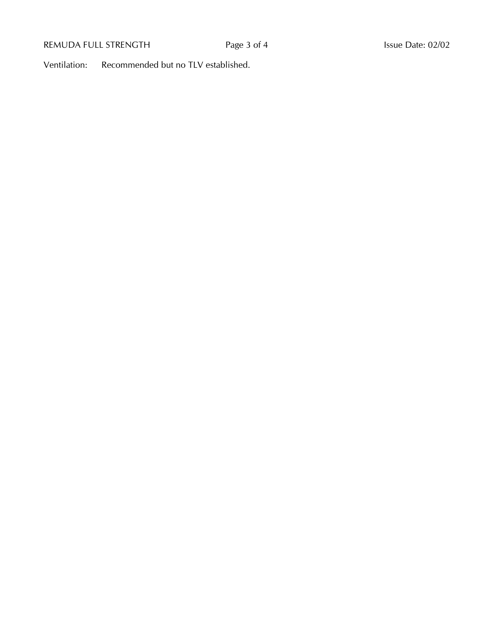## REMUDA FULL STRENGTH Page 3 of 4 Issue Date: 02/02

Ventilation: Recommended but no TLV established.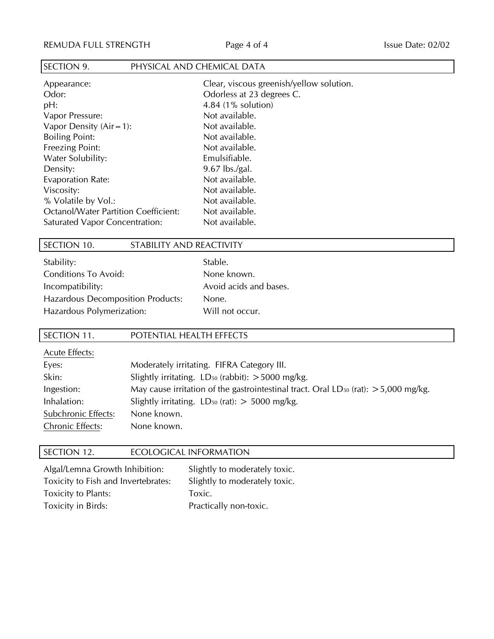#### SECTION 9. PHYSICAL AND CHEMICAL DATA

| Appearance:                                 | Clear, viscous greenish/yellow solution. |
|---------------------------------------------|------------------------------------------|
| Odor:                                       | Odorless at 23 degrees C.                |
| pH:                                         | 4.84 (1% solution)                       |
| Vapor Pressure:                             | Not available.                           |
| Vapor Density $(Air = 1)$ :                 | Not available.                           |
| <b>Boiling Point:</b>                       | Not available.                           |
| <b>Freezing Point:</b>                      | Not available.                           |
| Water Solubility:                           | Emulsifiable.                            |
| Density:                                    | $9.67$ lbs./gal.                         |
| Evaporation Rate:                           | Not available.                           |
| Viscosity:                                  | Not available.                           |
| % Volatile by Vol.:                         | Not available.                           |
| <b>Octanol/Water Partition Coefficient:</b> | Not available.                           |
| Saturated Vapor Concentration:              | Not available.                           |

#### SECTION 10. STABILITY AND REACTIVITY

| Stability:                               |
|------------------------------------------|
| <b>Conditions To Avoid:</b>              |
| Incompatibility:                         |
| <b>Hazardous Decomposition Products:</b> |
| Hazardous Polymerization:                |

Stable. None known. Avoid acids and bases. None. Will not occur.

#### SECTION 11. POTENTIAL HEALTH EFFECTS

Acute Effects: Eyes: Moderately irritating. FIFRA Category III. Skin: Slightly irritating. LD<sub>50</sub> (rabbit): >5000 mg/kg. Ingestion: May cause irritation of the gastrointestinal tract. Oral LD<sub>50</sub> (rat):  $>$  5,000 mg/kg. Inhalation: Slightly irritating.  $LD_{50}$  (rat):  $> 5000$  mg/kg. Subchronic Effects: None known. Chronic Effects: None known.

#### SECTION 12. ECOLOGICAL INFORMATION

| Algal/Lemna Growth Inhibition:      | Slightly to moderately toxic. |
|-------------------------------------|-------------------------------|
| Toxicity to Fish and Invertebrates: | Slightly to moderately toxic. |
| Toxicity to Plants:                 | Toxic.                        |
| Toxicity in Birds:                  | Practically non-toxic.        |